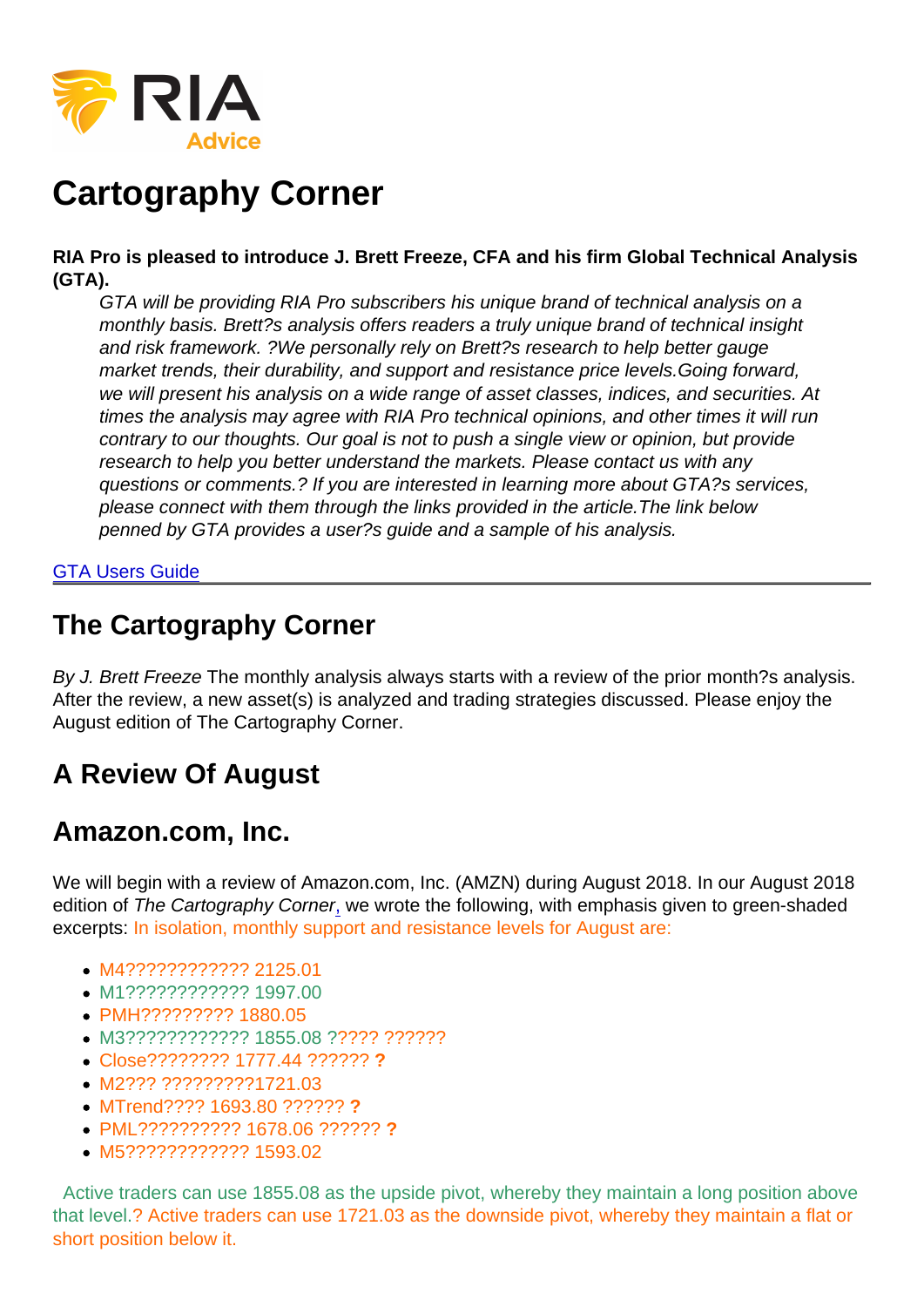# Cartography Corner

RIA Pro is pleased to introduce J. Brett Freeze, CFA and his firm Global Technical Analysis (GTA).

GTA will be providing RIA Pro subscribers his unique brand of technical analysis on a monthly basis. Brett?s analysis offers readers a truly unique brand of technical insight and risk framework. ?We personally rely on Brett?s research to help better gauge market trends, their durability, and support and resistance price levels.Going forward, we will present his analysis on a wide range of asset classes, indices, and securities. At times the analysis may agree with RIA Pro technical opinions, and other times it will run contrary to our thoughts. Our goal is not to push a single view or opinion, but provide research to help you better understand the markets. Please contact us with any questions or comments.? If you are interested in learning more about GTA?s services, please connect with them through the links provided in the article.The link below penned by GTA provides a user?s guide and a sample of his analysis.

[GTA Users Guide](https://www.scribd.com/document/385310848/GTA-Introduction-RIA-Pro-docx)

### The Cartography Corner

By J. Brett Freeze The monthly analysis always starts with a review of the prior month?s analysis. After the review, a new asset(s) is analyzed and trading strategies discussed. Please enjoy the August edition of The Cartography Corner.

# A Review Of August

#### Amazon.com, Inc.

We will begin with a review of Amazon.com, Inc. (AMZN) during August 2018. In our August 2018 edition of The Cartography Corne[r,](https://www.720global.com/article/cartography-corner-july-2017-595e6d2d87eac) we wrote the following, with emphasis given to green-shaded excerpts: In isolation, monthly support and resistance levels for August are:

- M4???????????? 2125.01
- M1???????????? 1997.00
- PMH????????? 1880.05
- M3???????????? 1855.08 ????? ??????
- Close???????? 1777.44 ?????? ?
- M2??? ?????????1721.03
- MTrend???? 1693.80 ?????? ?
- PML?????????? 1678.06 ?????? ?
- M5???????????? 1593.02

 Active traders can use 1855.08 as the upside pivot, whereby they maintain a long position above that level.? Active traders can use 1721.03 as the downside pivot, whereby they maintain a flat or short position below it.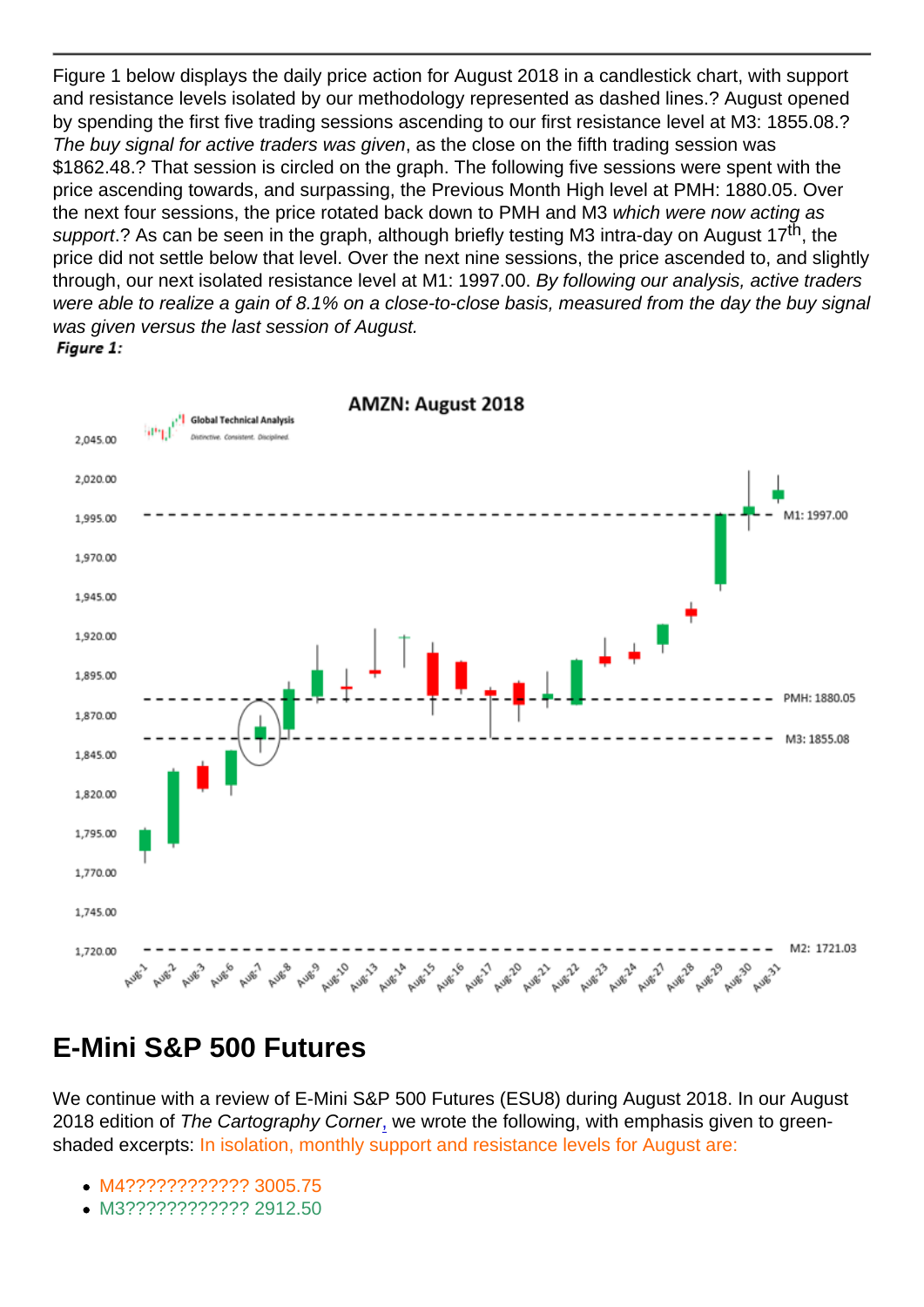Figure 1 below displays the daily price action for August 2018 in a candlestick chart, with support and resistance levels isolated by our methodology represented as dashed lines.? August opened by spending the first five trading sessions ascending to our first resistance level at M3: 1855.08.? The buy signal for active traders was given, as the close on the fifth trading session was \$1862.48.? That session is circled on the graph. The following five sessions were spent with the price ascending towards, and surpassing, the Previous Month High level at PMH: 1880.05. Over the next four sessions, the price rotated back down to PMH and M3 which were now acting as support.? As can be seen in the graph, although briefly testing M3 intra-day on August 17<sup>th</sup>, the price did not settle below that level. Over the next nine sessions, the price ascended to, and slightly through, our next isolated resistance level at M1: 1997.00. By following our analysis, active traders were able to realize a gain of 8.1% on a close-to-close basis, measured from the day the buy signal was given versus the last session of August.

### E-Mini S&P 500 Futures

We continue with a review of E-Mini S&P 500 Futures (ESU8) during August 2018. In our August 2018 edition of The Cartography Corne[r,](https://www.720global.com/article/cartography-corner-july-2017-595e6d2d87eac) we wrote the following, with emphasis given to greenshaded excerpts: In isolation, monthly support and resistance levels for August are:

- M4???????????? 3005.75
- M3???????????? 2912.50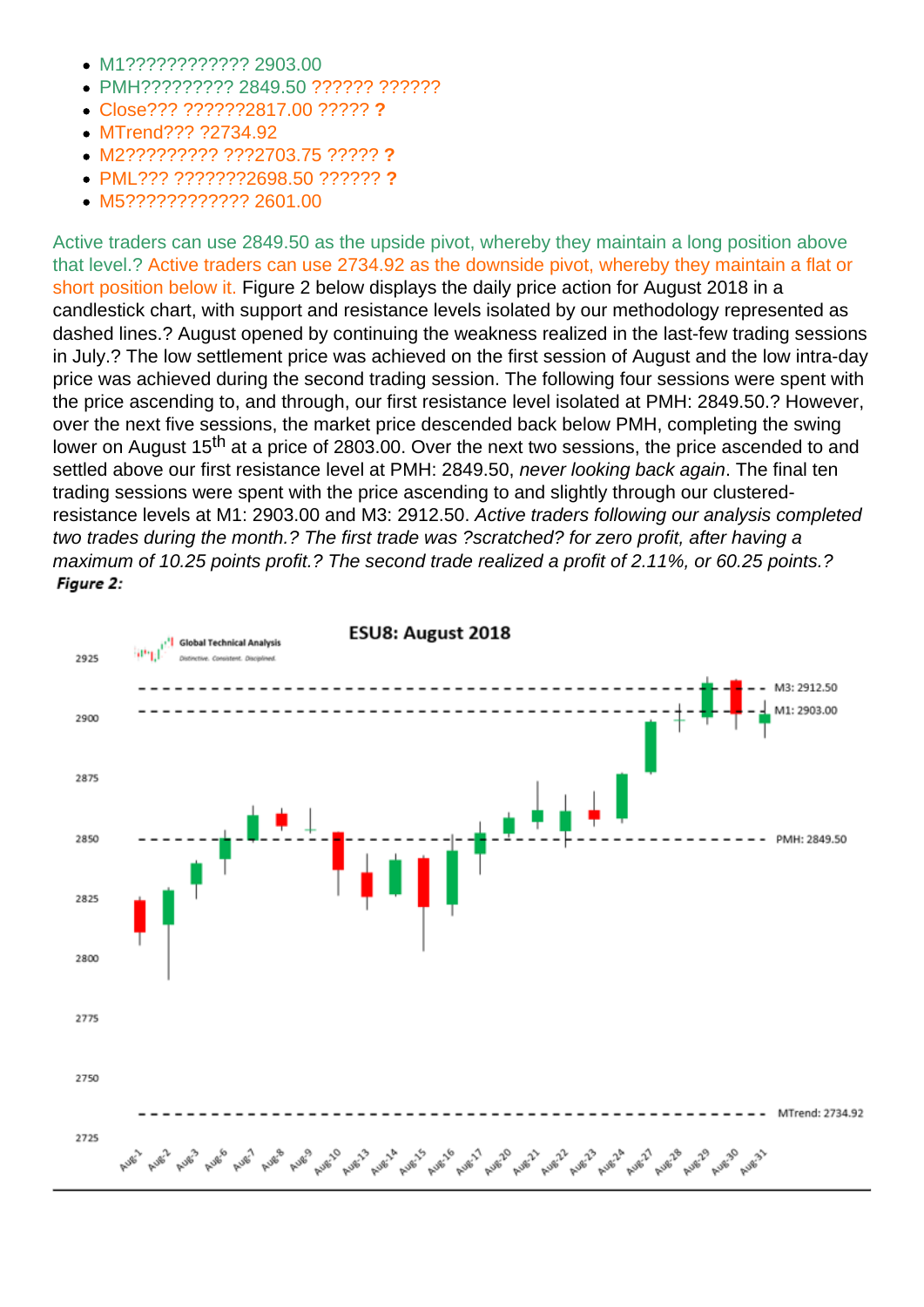- M1???????????? 2903.00
- PMH????????? 2849.50 ?????? ??????
- Close??? ??????2817.00 ????? ?
- MTrend??? ?2734.92
- M2????????? ???2703.75 ????? ?
- PML??? ???????2698.50 ?????? ?
- M5???????????? 2601.00

Active traders can use 2849.50 as the upside pivot, whereby they maintain a long position above that level.? Active traders can use 2734.92 as the downside pivot, whereby they maintain a flat or short position below it. Figure 2 below displays the daily price action for August 2018 in a candlestick chart, with support and resistance levels isolated by our methodology represented as dashed lines.? August opened by continuing the weakness realized in the last-few trading sessions in July.? The low settlement price was achieved on the first session of August and the low intra-day price was achieved during the second trading session. The following four sessions were spent with the price ascending to, and through, our first resistance level isolated at PMH: 2849.50.? However, over the next five sessions, the market price descended back below PMH, completing the swing lower on August 15<sup>th</sup> at a price of 2803.00. Over the next two sessions, the price ascended to and settled above our first resistance level at PMH: 2849.50, never looking back again. The final ten trading sessions were spent with the price ascending to and slightly through our clusteredresistance levels at M1: 2903.00 and M3: 2912.50. Active traders following our analysis completed two trades during the month.? The first trade was ?scratched? for zero profit, after having a maximum of 10.25 points profit.? The second trade realized a profit of 2.11%, or 60.25 points.?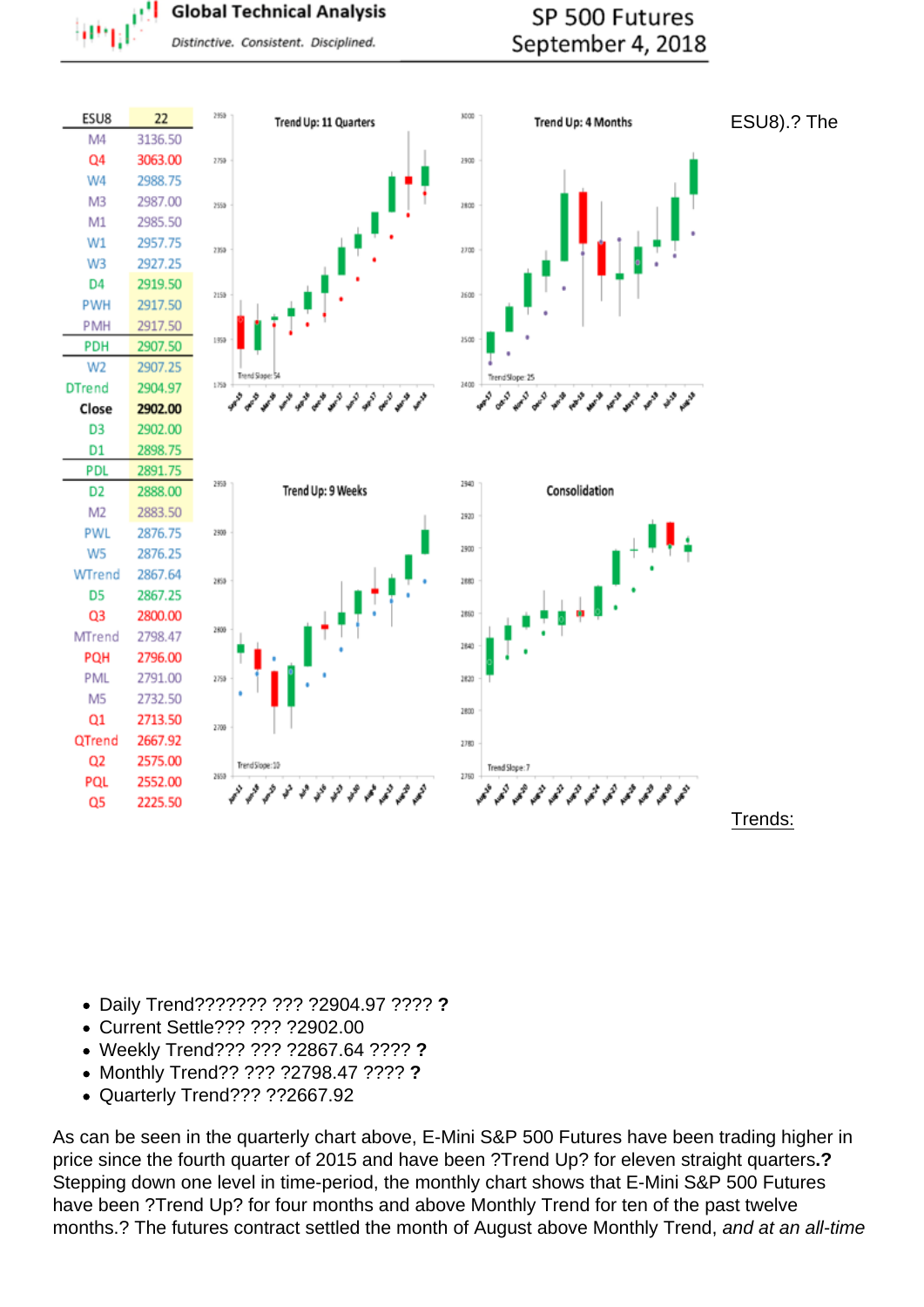# September Analysis

[We begin by providing a monthly time-period analysis of E-Mini S&P 500 Futures \(E](https://realinvestmentadvice.com/wp-content/uploads/2018/09/3-es-sept.png)SU8).? The same analysis can be completed for any time-period or in aggregate.

Trends:

- Daily Trend??????? ??? ?2904.97 ???? ?
- Current Settle??? ??? ?2902.00
- Weekly Trend??? ??? ?2867.64 ???? ?
- Monthly Trend?? ??? ?2798.47 ???? ?
- Quarterly Trend??? ??2667.92

As can be seen in the quarterly chart above, E-Mini S&P 500 Futures have been trading higher in price since the fourth quarter of 2015 and have been ?Trend Up? for eleven straight quarters.? Stepping down one level in time-period, the monthly chart shows that E-Mini S&P 500 Futures have been ?Trend Up? for four months and above Monthly Trend for ten of the past twelve months.? The futures contract settled the month of August above Monthly Trend, and at an all-time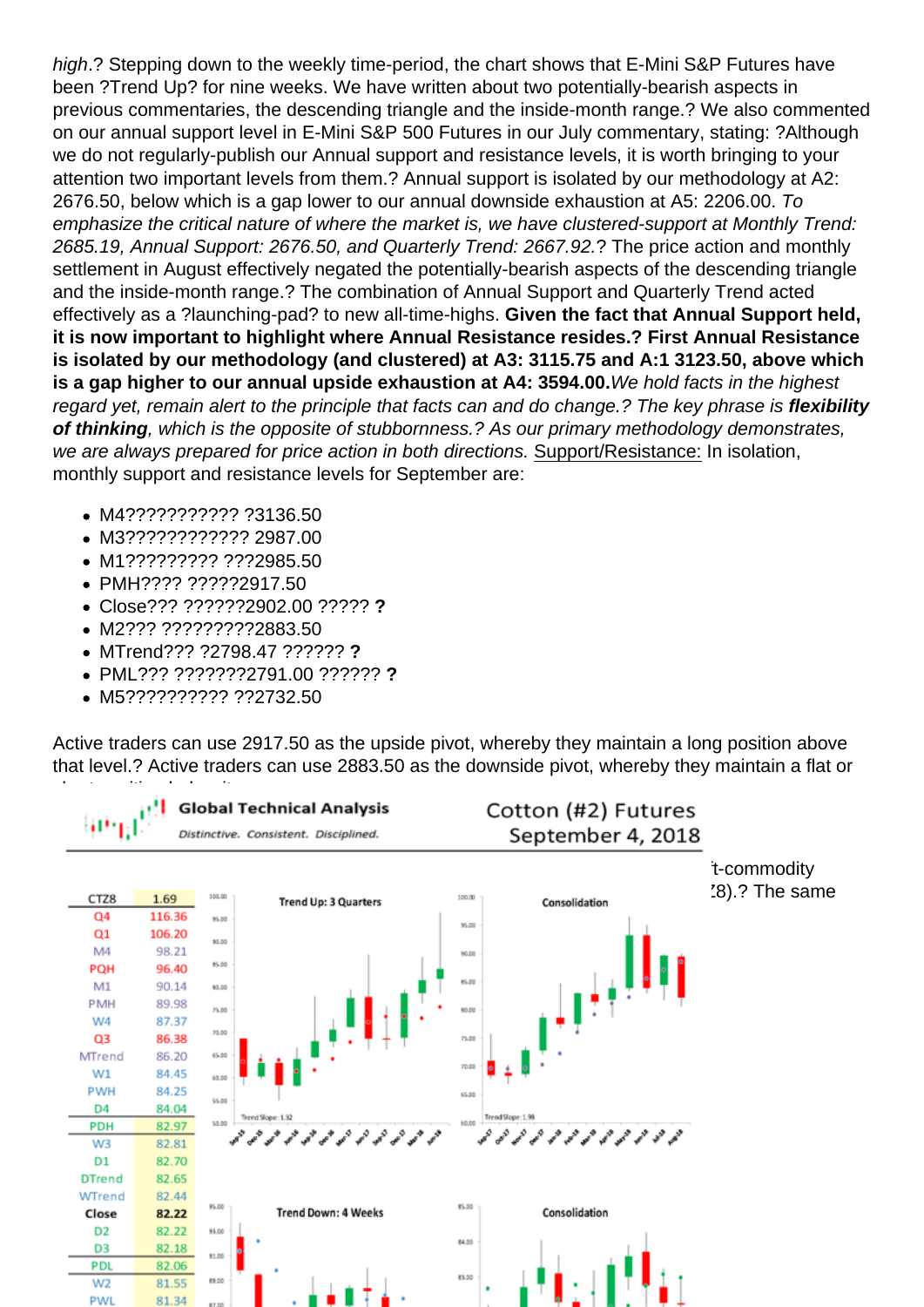high.? Stepping down to the weekly time-period, the chart shows that E-Mini S&P Futures have been ?Trend Up? for nine weeks. We have written about two potentially-bearish aspects in previous commentaries, the descending triangle and the inside-month range.? We also commented on our annual support level in E-Mini S&P 500 Futures in our July commentary, stating: ?Although we do not regularly-publish our Annual support and resistance levels, it is worth bringing to your attention two important levels from them.? Annual support is isolated by our methodology at A2: 2676.50, below which is a gap lower to our annual downside exhaustion at A5: 2206.00. To emphasize the critical nature of where the market is, we have clustered-support at Monthly Trend: 2685.19, Annual Support: 2676.50, and Quarterly Trend: 2667.92.? The price action and monthly settlement in August effectively negated the potentially-bearish aspects of the descending triangle and the inside-month range.? The combination of Annual Support and Quarterly Trend acted effectively as a ?launching-pad? to new all-time-highs. Given the fact that Annual Support held, it is now important to highlight where Annual Resistance resides.? First Annual Resistance is isolated by our methodology (and clustered) at A3: 3115.75 and A:1 3123.50, above which is a gap higher to our annual upside exhaustion at A4: 3594.00. We hold facts in the highest regard yet, remain alert to the principle that facts can and do change.? The key phrase is flexibility of thinking , which is the opposite of stubbornness.? As our primary methodology demonstrates, we are always prepared for price action in both directions. Support/Resistance: In isolation, monthly support and resistance levels for September are:

- M4??????????? ?3136.50
- M3???????????? 2987.00
- M1????????? ???2985.50
- PMH???? ?????2917.50
- Close??? ??????2902.00 ????? ?
- M2??? ?????????2883.50
- MTrend??? ?2798.47 ?????? ?
- PML??? ???????2791.00 ?????? ?
- M5?????????? ??2732.50

Active traders can use 2917.50 as the upside pivot, whereby they maintain a long position above that level.? Active traders can use 2883.50 as the downside pivot, whereby they maintain a flat or short position below it.

# Cotton (#2) Futures

[For the month of September, we shift our focus from the equity market to the sof](https://realinvestmentadvice.com/wp-content/uploads/2018/09/4-cotton.png)t-commodity market.? We provide a monthly time-period analysis of Cotton (#2) Futures (CTZ8).? The same analysis can be completed for any time-period or in aggregate.